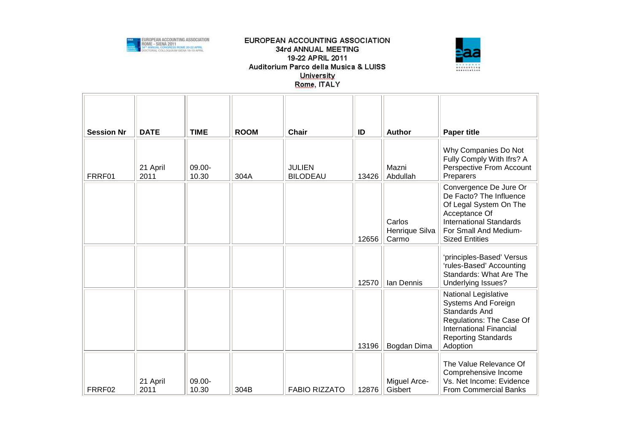



| <b>Session Nr</b> | <b>DATE</b>      | <b>TIME</b>     | <b>ROOM</b> | <b>Chair</b>                     | ID    | <b>Author</b>                     | <b>Paper title</b>                                                                                                                                                                        |
|-------------------|------------------|-----------------|-------------|----------------------------------|-------|-----------------------------------|-------------------------------------------------------------------------------------------------------------------------------------------------------------------------------------------|
| FRRF01            | 21 April<br>2011 | 09.00-<br>10.30 | 304A        | <b>JULIEN</b><br><b>BILODEAU</b> | 13426 | Mazni<br>Abdullah                 | Why Companies Do Not<br>Fully Comply With Ifrs? A<br>Perspective From Account<br>Preparers                                                                                                |
|                   |                  |                 |             |                                  | 12656 | Carlos<br>Henrique Silva<br>Carmo | Convergence De Jure Or<br>De Facto? The Influence<br>Of Legal System On The<br>Acceptance Of<br><b>International Standards</b><br>For Small And Medium-<br><b>Sized Entities</b>          |
|                   |                  |                 |             |                                  | 12570 | Ian Dennis                        | 'principles-Based' Versus<br>'rules-Based' Accounting<br>Standards: What Are The<br>Underlying Issues?                                                                                    |
|                   |                  |                 |             |                                  | 13196 | Bogdan Dima                       | <b>National Legislative</b><br><b>Systems And Foreign</b><br><b>Standards And</b><br>Regulations: The Case Of<br><b>International Financial</b><br><b>Reporting Standards</b><br>Adoption |
| FRRF02            | 21 April<br>2011 | 09.00-<br>10.30 | 304B        | <b>FABIO RIZZATO</b>             | 12876 | Miguel Arce-<br>Gisbert           | The Value Relevance Of<br>Comprehensive Income<br>Vs. Net Income: Evidence<br><b>From Commercial Banks</b>                                                                                |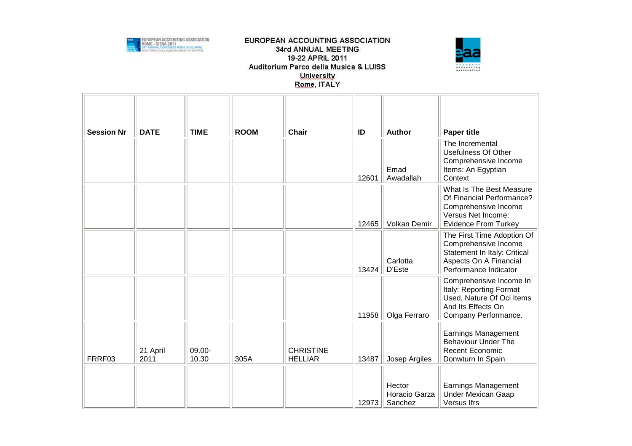



| <b>Session Nr</b> | <b>DATE</b>      | <b>TIME</b>     | <b>ROOM</b> | <b>Chair</b>                       | ID    | <b>Author</b>                      | <b>Paper title</b>                                                                                                                    |
|-------------------|------------------|-----------------|-------------|------------------------------------|-------|------------------------------------|---------------------------------------------------------------------------------------------------------------------------------------|
|                   |                  |                 |             |                                    | 12601 | Emad<br>Awadallah                  | The Incremental<br><b>Usefulness Of Other</b><br>Comprehensive Income<br>Items: An Egyptian<br>Context                                |
|                   |                  |                 |             |                                    | 12465 | Volkan Demir                       | What Is The Best Measure<br>Of Financial Performance?<br>Comprehensive Income<br>Versus Net Income:<br><b>Evidence From Turkey</b>    |
|                   |                  |                 |             |                                    | 13424 | Carlotta<br>D'Este                 | The First Time Adoption Of<br>Comprehensive Income<br>Statement In Italy: Critical<br>Aspects On A Financial<br>Performance Indicator |
|                   |                  |                 |             |                                    | 11958 | Olga Ferraro                       | Comprehensive Income In<br>Italy: Reporting Format<br>Used, Nature Of Oci Items<br>And Its Effects On<br>Company Performance.         |
| FRRF03            | 21 April<br>2011 | 09.00-<br>10.30 | 305A        | <b>CHRISTINE</b><br><b>HELLIAR</b> | 13487 | Josep Argiles                      | <b>Earnings Management</b><br><b>Behaviour Under The</b><br>Recent Economic<br>Donwturn In Spain                                      |
|                   |                  |                 |             |                                    | 12973 | Hector<br>Horacio Garza<br>Sanchez | <b>Earnings Management</b><br><b>Under Mexican Gaap</b><br>Versus Ifrs                                                                |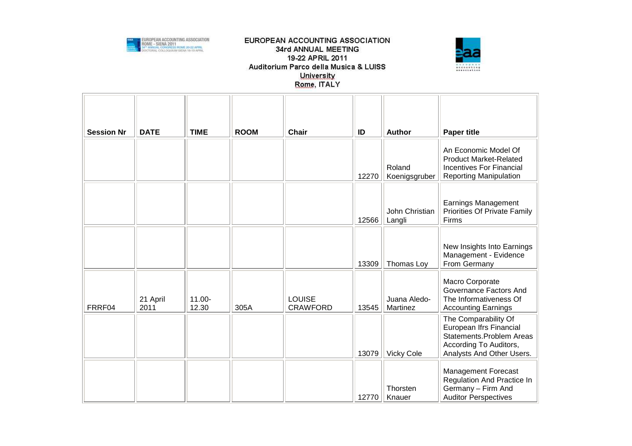



| <b>Session Nr</b> | <b>DATE</b>      | <b>TIME</b>        | <b>ROOM</b> | <b>Chair</b>                     | ID    | <b>Author</b>            | <b>Paper title</b>                                                                                                                 |
|-------------------|------------------|--------------------|-------------|----------------------------------|-------|--------------------------|------------------------------------------------------------------------------------------------------------------------------------|
|                   |                  |                    |             |                                  | 12270 | Roland<br>Koenigsgruber  | An Economic Model Of<br><b>Product Market-Related</b><br><b>Incentives For Financial</b><br><b>Reporting Manipulation</b>          |
|                   |                  |                    |             |                                  | 12566 | John Christian<br>Langli | <b>Earnings Management</b><br>Priorities Of Private Family<br>Firms                                                                |
|                   |                  |                    |             |                                  | 13309 | Thomas Loy               | New Insights Into Earnings<br>Management - Evidence<br>From Germany                                                                |
| FRRF04            | 21 April<br>2011 | $11.00 -$<br>12.30 | 305A        | <b>LOUISE</b><br><b>CRAWFORD</b> | 13545 | Juana Aledo-<br>Martinez | Macro Corporate<br>Governance Factors And<br>The Informativeness Of<br><b>Accounting Earnings</b>                                  |
|                   |                  |                    |             |                                  | 13079 | <b>Vicky Cole</b>        | The Comparability Of<br>European Ifrs Financial<br>Statements.Problem Areas<br>According To Auditors,<br>Analysts And Other Users. |
|                   |                  |                    |             |                                  | 12770 | Thorsten<br>Knauer       | <b>Management Forecast</b><br>Regulation And Practice In<br>Germany - Firm And<br><b>Auditor Perspectives</b>                      |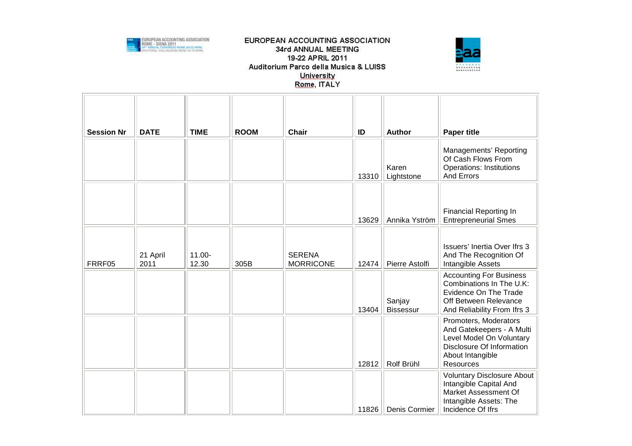



| <b>Session Nr</b> | <b>DATE</b>      | <b>TIME</b>        | <b>ROOM</b> | <b>Chair</b>                      | ID    | <b>Author</b>              | <b>Paper title</b>                                                                                                                           |
|-------------------|------------------|--------------------|-------------|-----------------------------------|-------|----------------------------|----------------------------------------------------------------------------------------------------------------------------------------------|
|                   |                  |                    |             |                                   | 13310 | Karen<br>Lightstone        | Managements' Reporting<br>Of Cash Flows From<br><b>Operations: Institutions</b><br>And Errors                                                |
|                   |                  |                    |             |                                   | 13629 | Annika Yström              | <b>Financial Reporting In</b><br><b>Entrepreneurial Smes</b>                                                                                 |
| FRRF05            | 21 April<br>2011 | $11.00 -$<br>12.30 | 305B        | <b>SERENA</b><br><b>MORRICONE</b> | 12474 | Pierre Astolfi             | Issuers' Inertia Over Ifrs 3<br>And The Recognition Of<br>Intangible Assets                                                                  |
|                   |                  |                    |             |                                   | 13404 | Sanjay<br><b>Bissessur</b> | <b>Accounting For Business</b><br>Combinations In The U.K:<br>Evidence On The Trade<br>Off Between Relevance<br>And Reliability From Ifrs 3  |
|                   |                  |                    |             |                                   | 12812 | Rolf Brühl                 | Promoters, Moderators<br>And Gatekeepers - A Multi<br>Level Model On Voluntary<br>Disclosure Of Information<br>About Intangible<br>Resources |
|                   |                  |                    |             |                                   | 11826 | Denis Cormier              | <b>Voluntary Disclosure About</b><br>Intangible Capital And<br>Market Assessment Of<br>Intangible Assets: The<br>Incidence Of Ifrs           |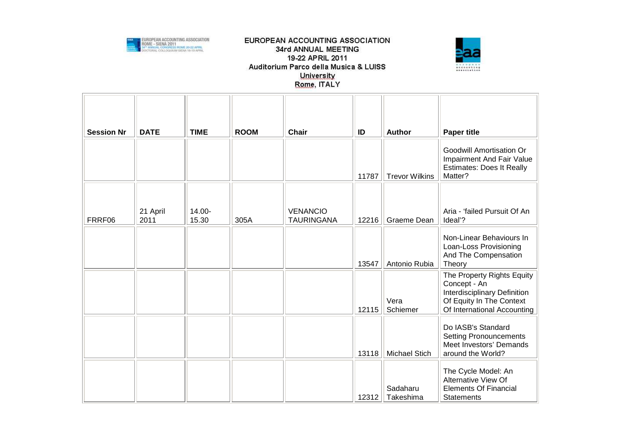



| <b>Session Nr</b> | <b>DATE</b> | <b>TIME</b> | <b>ROOM</b> | <b>Chair</b>      | ID    | <b>Author</b>         | <b>Paper title</b>                                                                                                                    |
|-------------------|-------------|-------------|-------------|-------------------|-------|-----------------------|---------------------------------------------------------------------------------------------------------------------------------------|
|                   |             |             |             |                   | 11787 | <b>Trevor Wilkins</b> | Goodwill Amortisation Or<br>Impairment And Fair Value<br><b>Estimates: Does It Really</b><br>Matter?                                  |
|                   | 21 April    | 14.00-      |             | <b>VENANCIO</b>   |       |                       | Aria - 'failed Pursuit Of An                                                                                                          |
| FRRF06            | 2011        | 15.30       | 305A        | <b>TAURINGANA</b> | 12216 | Graeme Dean           | Ideal'?                                                                                                                               |
|                   |             |             |             |                   | 13547 | Antonio Rubia         | Non-Linear Behaviours In<br>Loan-Loss Provisioning<br>And The Compensation<br>Theory                                                  |
|                   |             |             |             |                   | 12115 | Vera<br>Schiemer      | The Property Rights Equity<br>Concept - An<br>Interdisciplinary Definition<br>Of Equity In The Context<br>Of International Accounting |
|                   |             |             |             |                   | 13118 | <b>Michael Stich</b>  | Do IASB's Standard<br><b>Setting Pronouncements</b><br>Meet Investors' Demands<br>around the World?                                   |
|                   |             |             |             |                   | 12312 | Sadaharu<br>Takeshima | The Cycle Model: An<br>Alternative View Of<br><b>Elements Of Financial</b><br><b>Statements</b>                                       |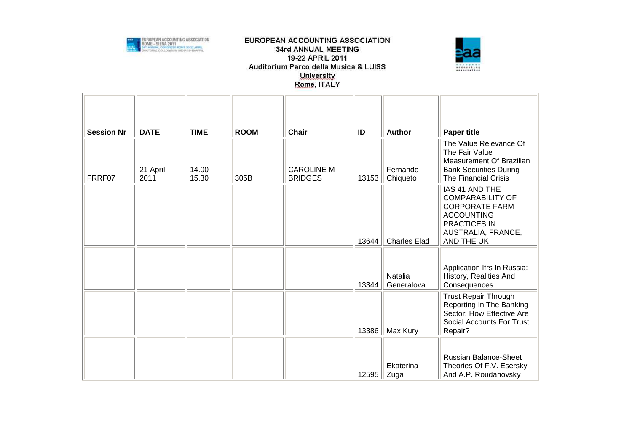



| <b>Session Nr</b> | <b>DATE</b> | <b>TIME</b> | <b>ROOM</b> | <b>Chair</b>      | ID    | <b>Author</b>         | <b>Paper title</b>                                                                                                                                 |
|-------------------|-------------|-------------|-------------|-------------------|-------|-----------------------|----------------------------------------------------------------------------------------------------------------------------------------------------|
|                   |             |             |             |                   |       |                       | The Value Relevance Of<br>The Fair Value                                                                                                           |
|                   | 21 April    | 14.00-      |             | <b>CAROLINE M</b> |       | Fernando              | Measurement Of Brazilian<br><b>Bank Securities During</b>                                                                                          |
| FRRF07            | 2011        | 15.30       | 305B        | <b>BRIDGES</b>    | 13153 | Chiqueto              | The Financial Crisis                                                                                                                               |
|                   |             |             |             |                   | 13644 | <b>Charles Elad</b>   | IAS 41 AND THE<br><b>COMPARABILITY OF</b><br><b>CORPORATE FARM</b><br><b>ACCOUNTING</b><br><b>PRACTICES IN</b><br>AUSTRALIA, FRANCE,<br>AND THE UK |
|                   |             |             |             |                   | 13344 | Natalia<br>Generalova | Application Ifrs In Russia:<br>History, Realities And<br>Consequences                                                                              |
|                   |             |             |             |                   | 13386 | Max Kury              | <b>Trust Repair Through</b><br>Reporting In The Banking<br>Sector: How Effective Are<br><b>Social Accounts For Trust</b><br>Repair?                |
|                   |             |             |             |                   |       |                       |                                                                                                                                                    |
|                   |             |             |             |                   | 12595 | Ekaterina<br>Zuga     | <b>Russian Balance-Sheet</b><br>Theories Of F.V. Esersky<br>And A.P. Roudanovsky                                                                   |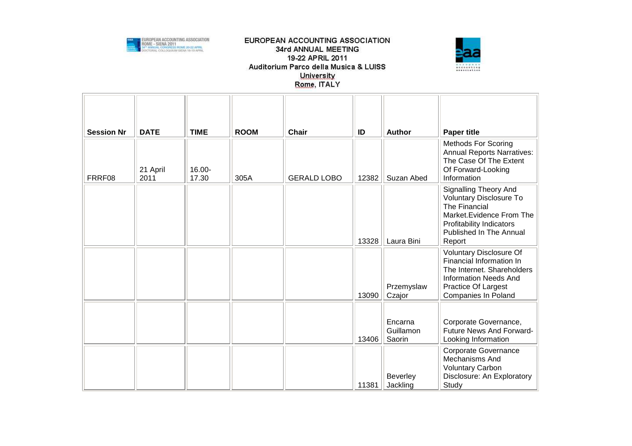



| <b>Session Nr</b> | <b>DATE</b>      | <b>TIME</b>     | <b>ROOM</b> | <b>Chair</b>       | ID    | <b>Author</b>                  | <b>Paper title</b>                                                                                                                                                            |
|-------------------|------------------|-----------------|-------------|--------------------|-------|--------------------------------|-------------------------------------------------------------------------------------------------------------------------------------------------------------------------------|
| FRRF08            | 21 April<br>2011 | 16.00-<br>17.30 | 305A        | <b>GERALD LOBO</b> | 12382 | Suzan Abed                     | Methods For Scoring<br><b>Annual Reports Narratives:</b><br>The Case Of The Extent<br>Of Forward-Looking<br>Information                                                       |
|                   |                  |                 |             |                    | 13328 | Laura Bini                     | Signalling Theory And<br>Voluntary Disclosure To<br>The Financial<br>Market. Evidence From The<br><b>Profitability Indicators</b><br><b>Published In The Annual</b><br>Report |
|                   |                  |                 |             |                    | 13090 | Przemyslaw<br>Czajor           | Voluntary Disclosure Of<br>Financial Information In<br>The Internet. Shareholders<br><b>Information Needs And</b><br>Practice Of Largest<br><b>Companies In Poland</b>        |
|                   |                  |                 |             |                    | 13406 | Encarna<br>Guillamon<br>Saorin | Corporate Governance,<br>Future News And Forward-<br>Looking Information                                                                                                      |
|                   |                  |                 |             |                    | 11381 | Beverley<br>Jackling           | Corporate Governance<br><b>Mechanisms And</b><br><b>Voluntary Carbon</b><br>Disclosure: An Exploratory<br>Study                                                               |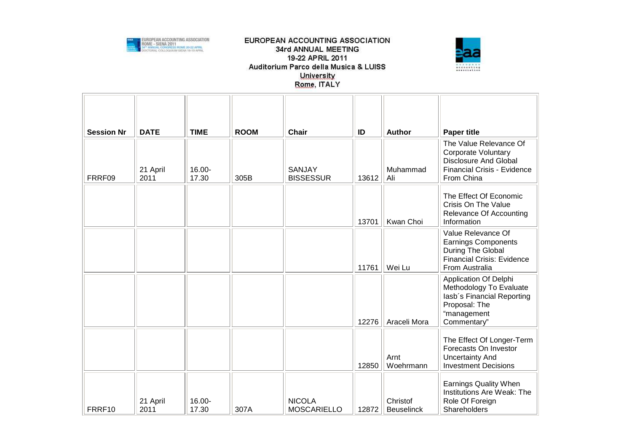



| <b>Session Nr</b> | <b>DATE</b>      | <b>TIME</b>        | <b>ROOM</b> | <b>Chair</b>                        | ID    | <b>Author</b>                 | <b>Paper title</b>                                                                                                                |
|-------------------|------------------|--------------------|-------------|-------------------------------------|-------|-------------------------------|-----------------------------------------------------------------------------------------------------------------------------------|
| FRRF09            | 21 April<br>2011 | 16.00-<br>17.30    | 305B        | SANJAY<br><b>BISSESSUR</b>          | 13612 | Muhammad<br>Ali               | The Value Relevance Of<br><b>Corporate Voluntary</b><br><b>Disclosure And Global</b><br>Financial Crisis - Evidence<br>From China |
|                   |                  |                    |             |                                     | 13701 | Kwan Choi                     | The Effect Of Economic<br><b>Crisis On The Value</b><br>Relevance Of Accounting<br>Information                                    |
|                   |                  |                    |             |                                     | 11761 | Wei Lu                        | Value Relevance Of<br><b>Earnings Components</b><br>During The Global<br><b>Financial Crisis: Evidence</b><br>From Australia      |
|                   |                  |                    |             |                                     | 12276 | Araceli Mora                  | Application Of Delphi<br>Methodology To Evaluate<br>lasb's Financial Reporting<br>Proposal: The<br>"management<br>Commentary"     |
|                   |                  |                    |             |                                     | 12850 | Arnt<br>Woehrmann             | The Effect Of Longer-Term<br>Forecasts On Investor<br><b>Uncertainty And</b><br><b>Investment Decisions</b>                       |
| FRRF10            | 21 April<br>2011 | $16.00 -$<br>17.30 | 307A        | <b>NICOLA</b><br><b>MOSCARIELLO</b> | 12872 | Christof<br><b>Beuselinck</b> | <b>Earnings Quality When</b><br>Institutions Are Weak: The<br>Role Of Foreign<br>Shareholders                                     |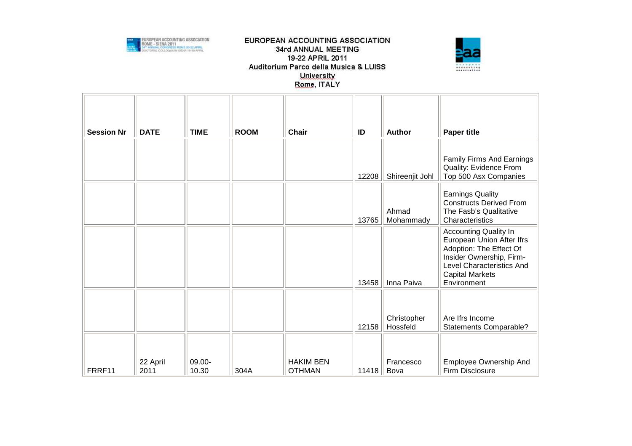



| <b>Session Nr</b> | <b>DATE</b>      | <b>TIME</b>     | <b>ROOM</b> | <b>Chair</b>                      | ID    | <b>Author</b>           | <b>Paper title</b>                                                                                                                                                                            |
|-------------------|------------------|-----------------|-------------|-----------------------------------|-------|-------------------------|-----------------------------------------------------------------------------------------------------------------------------------------------------------------------------------------------|
|                   |                  |                 |             |                                   | 12208 | Shireenjit Johl         | Family Firms And Earnings<br>Quality: Evidence From<br>Top 500 Asx Companies                                                                                                                  |
|                   |                  |                 |             |                                   | 13765 | Ahmad<br>Mohammady      | <b>Earnings Quality</b><br><b>Constructs Derived From</b><br>The Fasb's Qualitative<br>Characteristics                                                                                        |
|                   |                  |                 |             |                                   | 13458 | Inna Paiva              | <b>Accounting Quality In</b><br>European Union After Ifrs<br>Adoption: The Effect Of<br>Insider Ownership, Firm-<br><b>Level Characteristics And</b><br><b>Capital Markets</b><br>Environment |
|                   |                  |                 |             |                                   | 12158 | Christopher<br>Hossfeld | Are Ifrs Income<br>Statements Comparable?                                                                                                                                                     |
| FRRF11            | 22 April<br>2011 | 09.00-<br>10.30 | 304A        | <b>HAKIM BEN</b><br><b>OTHMAN</b> | 11418 | Francesco<br>Bova       | Employee Ownership And<br>Firm Disclosure                                                                                                                                                     |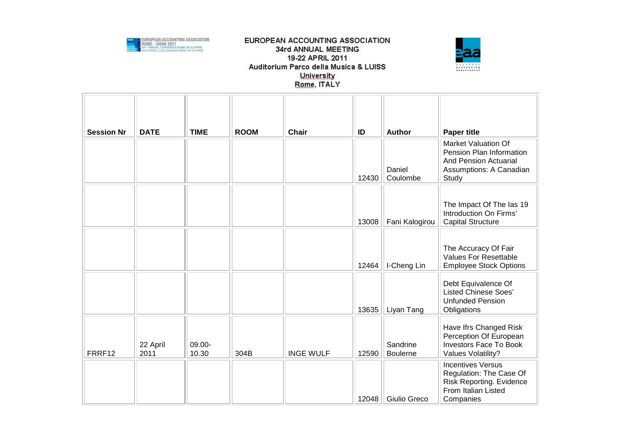



| <b>Session Nr</b> | <b>DATE</b>      | <b>TIME</b>     | <b>ROOM</b> | <b>Chair</b>     | ID    | <b>Author</b>               | <b>Paper title</b>                                                                                                         |
|-------------------|------------------|-----------------|-------------|------------------|-------|-----------------------------|----------------------------------------------------------------------------------------------------------------------------|
|                   |                  |                 |             |                  | 12430 | Daniel<br>Coulombe          | <b>Market Valuation Of</b><br>Pension Plan Information<br><b>And Pension Actuarial</b><br>Assumptions: A Canadian<br>Study |
|                   |                  |                 |             |                  | 13008 | Fani Kalogirou              | The Impact Of The las 19<br>Introduction On Firms'<br><b>Capital Structure</b>                                             |
|                   |                  |                 |             |                  | 12464 | I-Cheng Lin                 | The Accuracy Of Fair<br><b>Values For Resettable</b><br><b>Employee Stock Options</b>                                      |
|                   |                  |                 |             |                  | 13635 | Liyan Tang                  | Debt Equivalence Of<br><b>Listed Chinese Soes'</b><br><b>Unfunded Pension</b><br>Obligations                               |
| FRRF12            | 22 April<br>2011 | 09.00-<br>10.30 | 304B        | <b>INGE WULF</b> | 12590 | Sandrine<br><b>Boulerne</b> | Have Ifrs Changed Risk<br>Perception Of European<br><b>Investors Face To Book</b><br>Values Volatility?                    |
|                   |                  |                 |             |                  | 12048 | Giulio Greco                | <b>Incentives Versus</b><br>Regulation: The Case Of<br>Risk Reporting. Evidence<br>From Italian Listed<br>Companies        |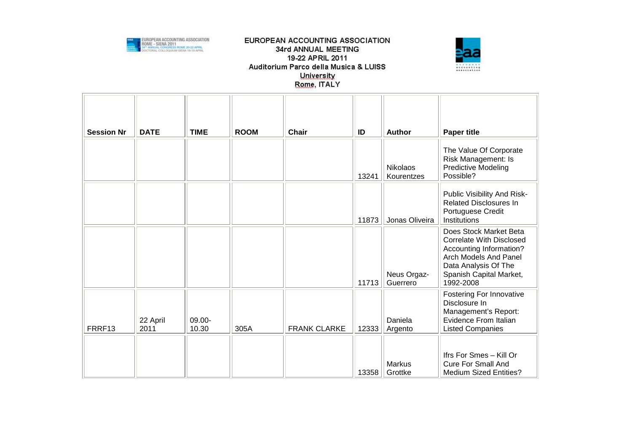



| <b>Session Nr</b> | <b>DATE</b>      | <b>TIME</b>     | <b>ROOM</b> | <b>Chair</b>        | ID    | <b>Author</b>           | <b>Paper title</b>                                                                                                                                                            |
|-------------------|------------------|-----------------|-------------|---------------------|-------|-------------------------|-------------------------------------------------------------------------------------------------------------------------------------------------------------------------------|
|                   |                  |                 |             |                     | 13241 | Nikolaos<br>Kourentzes  | The Value Of Corporate<br>Risk Management: Is<br>Predictive Modeling<br>Possible?                                                                                             |
|                   |                  |                 |             |                     | 11873 | Jonas Oliveira          | Public Visibility And Risk-<br><b>Related Disclosures In</b><br>Portuguese Credit<br>Institutions                                                                             |
|                   |                  |                 |             |                     | 11713 | Neus Orgaz-<br>Guerrero | Does Stock Market Beta<br><b>Correlate With Disclosed</b><br>Accounting Information?<br>Arch Models And Panel<br>Data Analysis Of The<br>Spanish Capital Market,<br>1992-2008 |
| FRRF13            | 22 April<br>2011 | 09.00-<br>10.30 | 305A        | <b>FRANK CLARKE</b> | 12333 | Daniela<br>Argento      | Fostering For Innovative<br>Disclosure In<br>Management's Report:<br>Evidence From Italian<br><b>Listed Companies</b>                                                         |
|                   |                  |                 |             |                     | 13358 | Markus<br>Grottke       | Ifrs For Smes - Kill Or<br><b>Cure For Small And</b><br><b>Medium Sized Entities?</b>                                                                                         |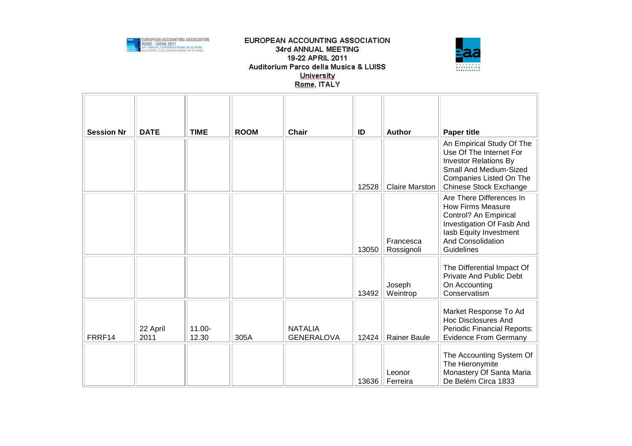



| <b>Session Nr</b> | <b>DATE</b>      | <b>TIME</b>        | <b>ROOM</b> | <b>Chair</b>                        | ID    | <b>Author</b>           | <b>Paper title</b>                                                                                                                                                             |
|-------------------|------------------|--------------------|-------------|-------------------------------------|-------|-------------------------|--------------------------------------------------------------------------------------------------------------------------------------------------------------------------------|
|                   |                  |                    |             |                                     | 12528 | <b>Claire Marston</b>   | An Empirical Study Of The<br>Use Of The Internet For<br><b>Investor Relations By</b><br>Small And Medium-Sized<br>Companies Listed On The<br>Chinese Stock Exchange            |
|                   |                  |                    |             |                                     | 13050 | Francesca<br>Rossignoli | Are There Differences In<br><b>How Firms Measure</b><br>Control? An Empirical<br>Investigation Of Fasb And<br>lasb Equity Investment<br><b>And Consolidation</b><br>Guidelines |
|                   |                  |                    |             |                                     | 13492 | Joseph<br>Weintrop      | The Differential Impact Of<br><b>Private And Public Debt</b><br>On Accounting<br>Conservatism                                                                                  |
| FRRF14            | 22 April<br>2011 | $11.00 -$<br>12.30 | 305A        | <b>NATALIA</b><br><b>GENERALOVA</b> | 12424 | <b>Rainer Baule</b>     | Market Response To Ad<br><b>Hoc Disclosures And</b><br><b>Periodic Financial Reports:</b><br><b>Evidence From Germany</b>                                                      |
|                   |                  |                    |             |                                     | 13636 | Leonor<br>Ferreira      | The Accounting System Of<br>The Hieronymite<br>Monastery Of Santa Maria<br>De Belém Circa 1833                                                                                 |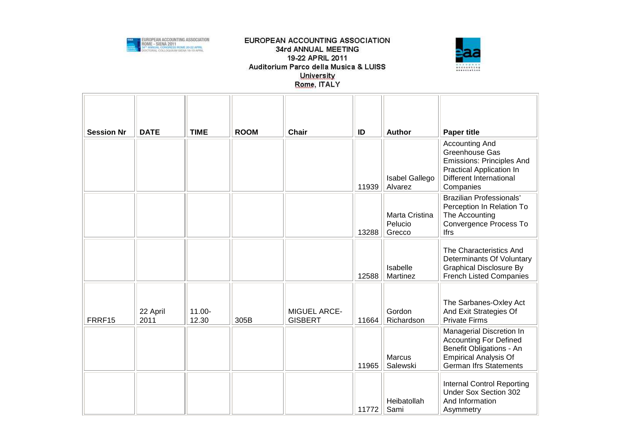



| <b>Session Nr</b> | <b>DATE</b>      | <b>TIME</b>     | <b>ROOM</b> | <b>Chair</b>                   | ID    | <b>Author</b>                       | <b>Paper title</b>                                                                                                                                     |
|-------------------|------------------|-----------------|-------------|--------------------------------|-------|-------------------------------------|--------------------------------------------------------------------------------------------------------------------------------------------------------|
|                   |                  |                 |             |                                | 11939 | Isabel Gallego<br>Alvarez           | <b>Accounting And</b><br>Greenhouse Gas<br><b>Emissions: Principles And</b><br>Practical Application In<br><b>Different International</b><br>Companies |
|                   |                  |                 |             |                                | 13288 | Marta Cristina<br>Pelucio<br>Grecco | <b>Brazilian Professionals'</b><br>Perception In Relation To<br>The Accounting<br>Convergence Process To<br><b>Ifrs</b>                                |
|                   |                  |                 |             |                                | 12588 | Isabelle<br>Martinez                | The Characteristics And<br>Determinants Of Voluntary<br><b>Graphical Disclosure By</b><br><b>French Listed Companies</b>                               |
| FRRF15            | 22 April<br>2011 | 11.00-<br>12.30 | 305B        | MIGUEL ARCE-<br><b>GISBERT</b> | 11664 | Gordon<br>Richardson                | The Sarbanes-Oxley Act<br>And Exit Strategies Of<br><b>Private Firms</b>                                                                               |
|                   |                  |                 |             |                                | 11965 | <b>Marcus</b><br>Salewski           | Managerial Discretion In<br><b>Accounting For Defined</b><br>Benefit Obligations - An<br><b>Empirical Analysis Of</b><br><b>German Ifrs Statements</b> |
|                   |                  |                 |             |                                | 11772 | Heibatollah<br>Sami                 | <b>Internal Control Reporting</b><br>Under Sox Section 302<br>And Information<br>Asymmetry                                                             |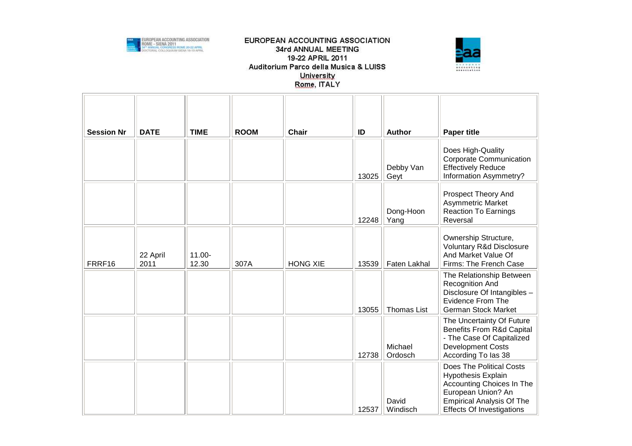



| <b>Session Nr</b> | <b>DATE</b>      | <b>TIME</b>     | <b>ROOM</b> | Chair           | ID    | <b>Author</b>      | <b>Paper title</b>                                                                                                                                                               |
|-------------------|------------------|-----------------|-------------|-----------------|-------|--------------------|----------------------------------------------------------------------------------------------------------------------------------------------------------------------------------|
|                   |                  |                 |             |                 | 13025 | Debby Van<br>Geyt  | Does High-Quality<br><b>Corporate Communication</b><br><b>Effectively Reduce</b><br>Information Asymmetry?                                                                       |
|                   |                  |                 |             |                 | 12248 | Dong-Hoon<br>Yang  | Prospect Theory And<br>Asymmetric Market<br><b>Reaction To Earnings</b><br>Reversal                                                                                              |
| FRRF16            | 22 April<br>2011 | 11.00-<br>12.30 | 307A        | <b>HONG XIE</b> | 13539 | Faten Lakhal       | Ownership Structure,<br>Voluntary R&d Disclosure<br>And Market Value Of<br>Firms: The French Case                                                                                |
|                   |                  |                 |             |                 | 13055 | <b>Thomas List</b> | The Relationship Between<br>Recognition And<br>Disclosure Of Intangibles -<br><b>Evidence From The</b><br><b>German Stock Market</b>                                             |
|                   |                  |                 |             |                 | 12738 | Michael<br>Ordosch | The Uncertainty Of Future<br><b>Benefits From R&amp;d Capital</b><br>- The Case Of Capitalized<br><b>Development Costs</b><br>According To las 38                                |
|                   |                  |                 |             |                 | 12537 | David<br>Windisch  | <b>Does The Political Costs</b><br>Hypothesis Explain<br>Accounting Choices In The<br>European Union? An<br><b>Empirical Analysis Of The</b><br><b>Effects Of Investigations</b> |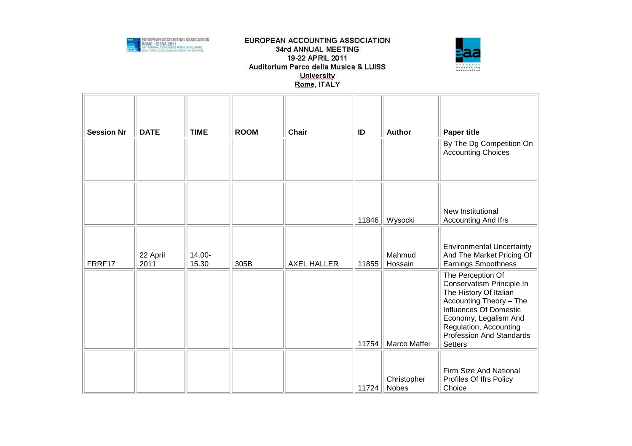



| <b>Session Nr</b> | <b>DATE</b>      | <b>TIME</b>     | <b>ROOM</b> | <b>Chair</b>       | ID    | <b>Author</b>               | <b>Paper title</b><br>By The Dg Competition On<br><b>Accounting Choices</b>                                                                                                                                                    |
|-------------------|------------------|-----------------|-------------|--------------------|-------|-----------------------------|--------------------------------------------------------------------------------------------------------------------------------------------------------------------------------------------------------------------------------|
|                   |                  |                 |             |                    | 11846 | Wysocki                     | New Institutional<br>Accounting And Ifrs                                                                                                                                                                                       |
| FRRF17            | 22 April<br>2011 | 14.00-<br>15.30 | 305B        | <b>AXEL HALLER</b> | 11855 | Mahmud<br>Hossain           | <b>Environmental Uncertainty</b><br>And The Market Pricing Of<br><b>Earnings Smoothness</b>                                                                                                                                    |
|                   |                  |                 |             |                    | 11754 | Marco Maffei                | The Perception Of<br>Conservatism Principle In<br>The History Of Italian<br>Accounting Theory - The<br>Influences Of Domestic<br>Economy, Legalism And<br>Regulation, Accounting<br>Profession And Standards<br><b>Setters</b> |
|                   |                  |                 |             |                    | 11724 | Christopher<br><b>Nobes</b> | Firm Size And National<br>Profiles Of Ifrs Policy<br>Choice                                                                                                                                                                    |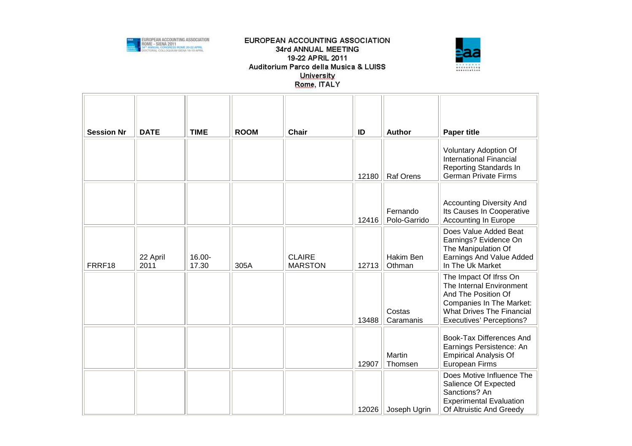



| <b>Session Nr</b> | <b>DATE</b>      | <b>TIME</b>        | <b>ROOM</b> | <b>Chair</b>                    | ID    | <b>Author</b>            | <b>Paper title</b>                                                                                                                                                                  |
|-------------------|------------------|--------------------|-------------|---------------------------------|-------|--------------------------|-------------------------------------------------------------------------------------------------------------------------------------------------------------------------------------|
|                   |                  |                    |             |                                 | 12180 | <b>Raf Orens</b>         | Voluntary Adoption Of<br><b>International Financial</b><br>Reporting Standards In<br><b>German Private Firms</b>                                                                    |
|                   |                  |                    |             |                                 | 12416 | Fernando<br>Polo-Garrido | <b>Accounting Diversity And</b><br>Its Causes In Cooperative<br><b>Accounting In Europe</b>                                                                                         |
| FRRF18            | 22 April<br>2011 | $16.00 -$<br>17.30 | 305A        | <b>CLAIRE</b><br><b>MARSTON</b> | 12713 | Hakim Ben<br>Othman      | Does Value Added Beat<br>Earnings? Evidence On<br>The Manipulation Of<br>Earnings And Value Added<br>In The Uk Market                                                               |
|                   |                  |                    |             |                                 | 13488 | Costas<br>Caramanis      | The Impact Of Ifrss On<br>The Internal Environment<br>And The Position Of<br><b>Companies In The Market:</b><br><b>What Drives The Financial</b><br><b>Executives' Perceptions?</b> |
|                   |                  |                    |             |                                 | 12907 | Martin<br>Thomsen        | Book-Tax Differences And<br>Earnings Persistence: An<br><b>Empirical Analysis Of</b><br><b>European Firms</b>                                                                       |
|                   |                  |                    |             |                                 | 12026 | Joseph Ugrin             | Does Motive Influence The<br>Salience Of Expected<br>Sanctions? An<br><b>Experimental Evaluation</b><br>Of Altruistic And Greedy                                                    |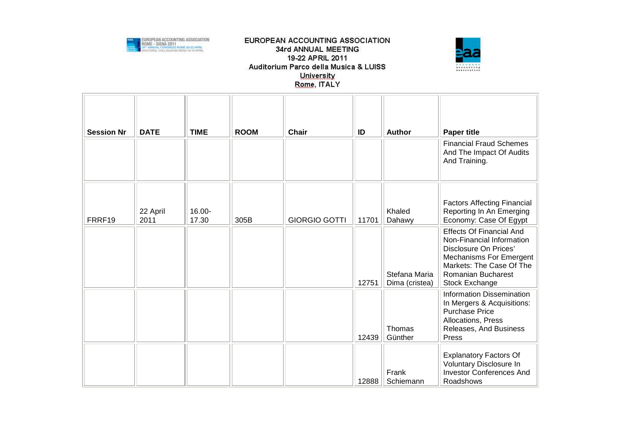



| <b>Session Nr</b> | <b>DATE</b>      | <b>TIME</b>     | <b>ROOM</b> | <b>Chair</b>         | ID    | <b>Author</b>                   | <b>Paper title</b>                                                                                                                                                                                 |
|-------------------|------------------|-----------------|-------------|----------------------|-------|---------------------------------|----------------------------------------------------------------------------------------------------------------------------------------------------------------------------------------------------|
|                   |                  |                 |             |                      |       |                                 | <b>Financial Fraud Schemes</b><br>And The Impact Of Audits<br>And Training.                                                                                                                        |
| FRRF19            | 22 April<br>2011 | 16.00-<br>17.30 | 305B        | <b>GIORGIO GOTTI</b> | 11701 | Khaled<br>Dahawy                | <b>Factors Affecting Financial</b><br>Reporting In An Emerging<br>Economy: Case Of Egypt                                                                                                           |
|                   |                  |                 |             |                      | 12751 | Stefana Maria<br>Dima (cristea) | <b>Effects Of Financial And</b><br>Non-Financial Information<br>Disclosure On Prices'<br><b>Mechanisms For Emergent</b><br>Markets: The Case Of The<br><b>Romanian Bucharest</b><br>Stock Exchange |
|                   |                  |                 |             |                      | 12439 | Thomas<br>Günther               | <b>Information Dissemination</b><br>In Mergers & Acquisitions:<br><b>Purchase Price</b><br>Allocations, Press<br>Releases, And Business<br>Press                                                   |
|                   |                  |                 |             |                      | 12888 | Frank<br>Schiemann              | <b>Explanatory Factors Of</b><br>Voluntary Disclosure In<br><b>Investor Conferences And</b><br>Roadshows                                                                                           |